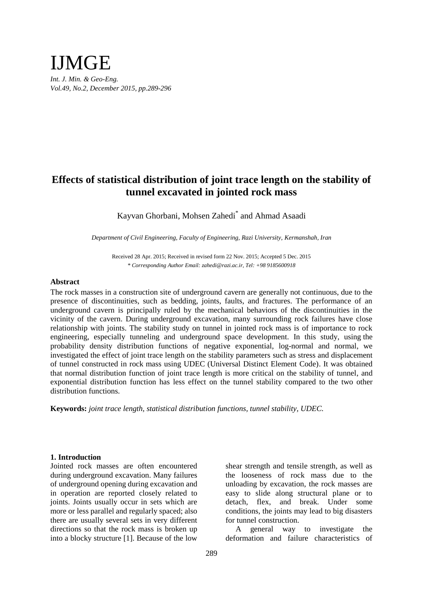# IJMGE *Int. J. Min. & Geo-Eng. Vol.49, No.2, December 2015, pp.289-296*

## **Effects of statistical distribution of joint trace length on the stability of tunnel excavated in jointed rock mass**

Kayvan Ghorbani, Mohsen Zahedi\* and Ahmad Asaadi

*Department of Civil Engineering, Faculty of Engineering, Razi University, Kermanshah, Iran*

Received 28 Apr. 2015; Received in revised form 22 Nov. 2015; Accepted 5 Dec. 2015 *\* Corresponding Author Email: zahedi@razi.ac.ir, Tel: +98 9185600918*

#### **Abstract**

The rock masses in a construction site of underground cavern are generally not continuous, due to the presence of discontinuities, such as bedding, joints, faults, and fractures. The performance of an underground cavern is principally ruled by the mechanical behaviors of the discontinuities in the vicinity of the cavern. During underground excavation, many surrounding rock failures have close relationship with joints. The stability study on tunnel in jointed rock mass is of importance to rock engineering, especially tunneling and underground space development. In this study, using the probability density distribution functions of negative exponential, log-normal and normal, we investigated the effect of joint trace length on the stability parameters such as stress and displacement of tunnel constructed in rock mass using UDEC (Universal Distinct Element Code). It was obtained that normal distribution function of joint trace length is more critical on the stability of tunnel, and exponential distribution function has less effect on the tunnel stability compared to the two other distribution functions.

**Keywords:** *joint trace length, statistical distribution functions, tunnel stability, UDEC.*

## **1. Introduction**

Jointed rock masses are often encountered during underground excavation. Many failures of underground opening during excavation and in operation are reported closely related to joints. Joints usually occur in sets which are more or less parallel and regularly spaced; also there are usually several sets in very different directions so that the rock mass is broken up into a blocky structure [1]. Because of the low shear strength and tensile strength, as well as the looseness of rock mass due to the unloading by excavation, the rock masses are easy to slide along structural plane or to detach, flex, and break. Under some conditions, the joints may lead to big disasters for tunnel construction.

A general way to investigate the deformation and failure characteristics of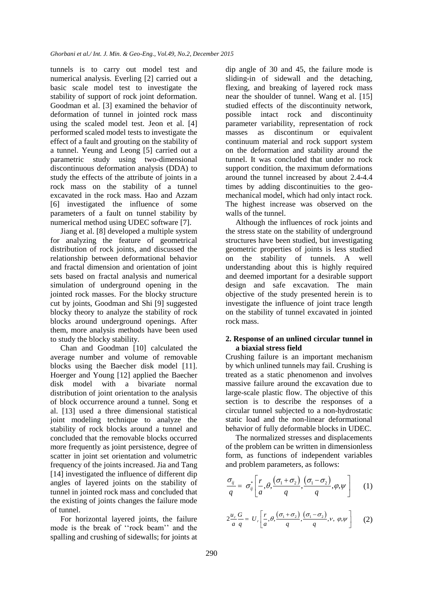tunnels is to carry out model test and numerical analysis. Everling [2] carried out a basic scale model test to investigate the stability of support of rock joint deformation. Goodman et al. [3] examined the behavior of deformation of tunnel in jointed rock mass using the scaled model test. Jeon et al. [4] performed scaled model tests to investigate the effect of a fault and grouting on the stability of a tunnel. Yeung and Leong [5] carried out a parametric study using two-dimensional discontinuous deformation analysis (DDA) to study the effects of the attribute of joints in a rock mass on the stability of a tunnel excavated in the rock mass. Hao and Azzam [6] investigated the influence of some parameters of a fault on tunnel stability by numerical method using UDEC software [7].

Jiang et al. [8] developed a multiple system for analyzing the feature of geometrical distribution of rock joints, and discussed the relationship between deformational behavior and fractal dimension and orientation of joint sets based on fractal analysis and numerical simulation of underground opening in the jointed rock masses. For the blocky structure cut by joints, Goodman and Shi [9] suggested blocky theory to analyze the stability of rock blocks around underground openings. After them, more analysis methods have been used to study the blocky stability.

Chan and Goodman [10] calculated the average number and volume of removable blocks using the Baecher disk model [11]. Hoerger and Young [12] applied the Baecher disk model with a bivariate normal distribution of joint orientation to the analysis of block occurrence around a tunnel. Song et al. [13] used a three dimensional statistical joint modeling technique to analyze the stability of rock blocks around a tunnel and concluded that the removable blocks occurred more frequently as joint persistence, degree of scatter in joint set orientation and volumetric frequency of the joints increased. Jia and Tang [14] investigated the influence of different dip angles of layered joints on the stability of tunnel in jointed rock mass and concluded that the existing of joints changes the failure mode of tunnel.

For horizontal layered joints, the failure mode is the break of ''rock beam'' and the spalling and crushing of sidewalls; for joints at dip angle of 30 and 45, the failure mode is sliding-in of sidewall and the detaching, flexing, and breaking of layered rock mass near the shoulder of tunnel. Wang et al. [15] studied effects of the discontinuity network, possible intact rock and discontinuity parameter variability, representation of rock masses as discontinum or equivalent continuum material and rock support system on the deformation and stability around the tunnel. It was concluded that under no rock support condition, the maximum deformations around the tunnel increased by about 2.4-4.4 times by adding discontinuities to the geomechanical model, which had only intact rock. The highest increase was observed on the walls of the tunnel.

Although the influences of rock joints and the stress state on the stability of underground structures have been studied, but investigating geometric properties of joints is less studied on the stability of tunnels. A well understanding about this is highly required and deemed important for a desirable support design and safe excavation. The main objective of the study presented herein is to investigate the influence of joint trace length on the stability of tunnel excavated in jointed rock mass.

## **2. Response of an unlined circular tunnel in a biaxial stress field**

Crushing failure is an important mechanism by which unlined tunnels may fail. Crushing is treated as a static phenomenon and involves massive failure around the excavation due to large-scale plastic flow. The objective of this section is to describe the responses of a circular tunnel subjected to a non-hydrostatic static load and the non-linear deformational behavior of fully deformable blocks in UDEC.

The normalized stresses and displacements of the problem can be written in dimensionless form, as functions of independent variables and problem parameters, as follows:

$$
\frac{\sigma_{ij}}{q} = \sigma_{ij}^* \left[ \frac{r}{a}, \theta, \frac{(\sigma_1 + \sigma_2)}{q}, \frac{(\sigma_1 - \sigma_2)}{q}, \varphi, \psi \right]
$$
 (1)

$$
2\frac{u_r}{a}\frac{G}{q} = U_r \left[ \frac{r}{a}, \theta, \frac{(\sigma_1 + \sigma_2)}{q}, \frac{(\sigma_1 - \sigma_2)}{q}, \nu, \varphi, \psi \right]
$$
 (2)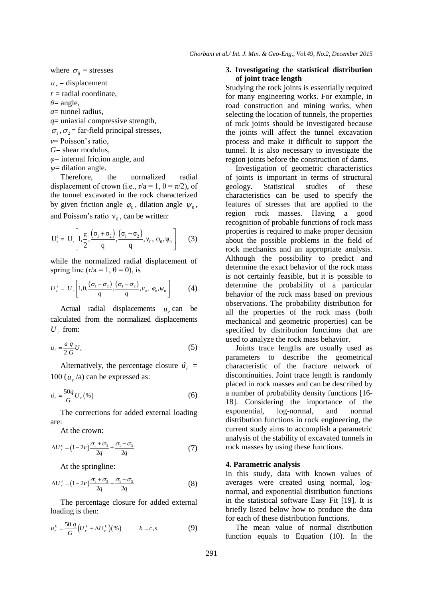where  $\sigma_{ij}$  = stresses

 $u_r$  = displacement

 $r =$  radial coordinate,

*θ*= angle,

*a*= tunnel radius,

*q*= uniaxial compressive strength,

 $\sigma_1$ ,  $\sigma_2$  = far-field principal stresses,

*ν*= Poisson's ratio,

*G*= shear modulus,

*φ*= internal friction angle, and

*ψ*= dilation angle.

Therefore, the normalized radial displacement of crown (i.e.,  $r/a = 1$ ,  $\theta = \pi/2$ ), of the tunnel excavated in the rock characterized by given friction angle  $\varphi_0$ , dilation angle  $\psi_0$ , and Poisson's ratio  $v_0$ , can be written:

$$
U_r^c = U_r \left[ 1, \frac{\pi}{2}, \frac{(\sigma_1 + \sigma_2)}{q}, \frac{(\sigma_1 - \sigma_2)}{q}, v_0, \phi_0, \psi_0 \right]
$$
 (3)

while the normalized radial displacement of

spring line (r/a = 1, θ = 0), is  
\n
$$
U_r^s = U_r \left[ 1, 0, \frac{(\sigma_1 + \sigma_2)}{q}, \frac{(\sigma_1 - \sigma_2)}{q}, v_0, \varphi_0, \psi_0 \right]
$$
\n(4)

Actual radial displacements  $u_r$  can be calculated from the normalized displacements  $U_r$  from:

$$
u_r = \frac{a \, q}{2 \, G} U_r \tag{5}
$$

Alternatively, the percentage closure  $\hat{u}_r$  = 100  $(u_r/a)$  can be expressed as:

$$
\hat{u}_r = \frac{50q}{G} U_r \left( \% \right) \tag{6}
$$

The corrections for added external loading are:

At the crown:

$$
\Delta U_r^c = (1 - 2\nu) \frac{\sigma_1 + \sigma_3}{2q} + \frac{\sigma_1 - \sigma_3}{2q} \tag{7}
$$

At the springline:

$$
\Delta U_r^s = (1 - 2\nu) \frac{\sigma_1 + \sigma_3}{2q} - \frac{\sigma_1 - \sigma_3}{2q} \tag{8}
$$

The percentage closure for added external loading is then:

$$
u_r^k = \frac{50 \, q}{G} \Big( U_r^k + \Delta U_r^k \Big) \Big( % \Big) \qquad k = c, s \tag{9}
$$

### **3. Investigating the statistical distribution of joint trace length**

Studying the rock joints is essentially required for many engineering works. For example, in road construction and mining works, when selecting the location of tunnels, the properties of rock joints should be investigated because the joints will affect the tunnel excavation process and make it difficult to support the tunnel. It is also necessary to investigate the region joints before the construction of dams.

Investigation of geometric characteristics of joints is important in terms of structural geology. Statistical studies of these characteristics can be used to specify the features of stresses that are applied to the region rock masses. Having a good recognition of probable functions of rock mass properties is required to make proper decision about the possible problems in the field of rock mechanics and an appropriate analysis. Although the possibility to predict and determine the exact behavior of the rock mass is not certainly feasible, but it is possible to determine the probability of a particular behavior of the rock mass based on previous observations. The probability distribution for all the properties of the rock mass (both mechanical and geometric properties) can be specified by distribution functions that are used to analyze the rock mass behavior.

Joints trace lengths are usually used as parameters to describe the geometrical characteristic of the fracture network of discontinuities. Joint trace length is randomly placed in rock masses and can be described by a number of probability density functions [16- 18]. Considering the importance of the exponential, log-normal, and normal distribution functions in rock engineering, the current study aims to accomplish a parametric analysis of the stability of excavated tunnels in rock masses by using these functions.

## **4. Parametric analysis**

In this study, data with known values of averages were created using normal, lognormal, and exponential distribution functions in the statistical software Easy Fit [19]. It is briefly listed below how to produce the data for each of these distribution functions.

The mean value of normal distribution function equals to Equation (10). In the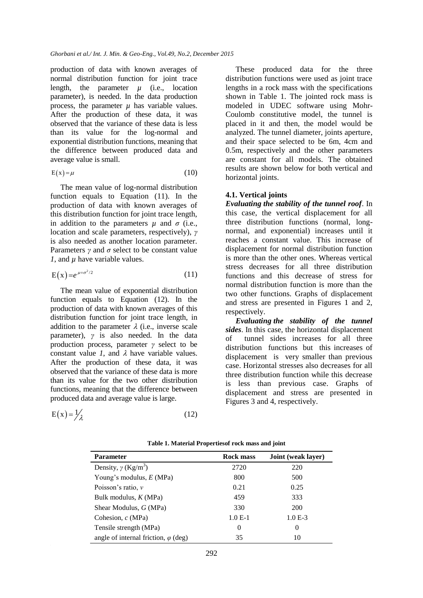production of data with known averages of normal distribution function for joint trace length, the parameter  $\mu$  (i.e., location parameter), is needed. In the data production process, the parameter  $\mu$  has variable values. After the production of these data, it was observed that the variance of these data is less than its value for the log-normal and exponential distribution functions, meaning that the difference between produced data and average value is small.

$$
E(x) = \mu \tag{10}
$$

The mean value of log-normal distribution function equals to Equation (11). In the production of data with known averages of this distribution function for joint trace length, in addition to the parameters  $\mu$  and  $\sigma$  (i.e., location and scale parameters, respectively), *γ* is also needed as another location parameter. Parameters  $\gamma$  and  $\sigma$  select to be constant value *1*, and *µ* have variable values.

$$
E(x) = e^{\mu + \sigma^2/2} \tag{11}
$$

The mean value of exponential distribution function equals to Equation (12). In the production of data with known averages of this distribution function for joint trace length, in addition to the parameter  $\lambda$  (i.e., inverse scale parameter), *γ* is also needed. In the data production process, parameter *γ* select to be constant value *1*, and  $\lambda$  have variable values. After the production of these data, it was observed that the variance of these data is more than its value for the two other distribution functions, meaning that the difference between produced data and average value is large.

$$
E(x) = \frac{1}{\lambda} \tag{12}
$$

These produced data for the three distribution functions were used as joint trace lengths in a rock mass with the specifications shown in Table 1. The jointed rock mass is modeled in UDEC software using Mohr-Coulomb constitutive model, the tunnel is placed in it and then, the model would be analyzed. The tunnel diameter, joints aperture, and their space selected to be 6m, 4cm and 0.5m, respectively and the other parameters are constant for all models. The obtained results are shown below for both vertical and horizontal joints.

#### **4.1. Vertical joints**

*Evaluating the stability of the tunnel roof*. In this case, the vertical displacement for all three distribution functions (normal, longnormal, and exponential) increases until it reaches a constant value. This increase of displacement for normal distribution function is more than the other ones. Whereas vertical stress decreases for all three distribution functions and this decrease of stress for normal distribution function is more than the two other functions. Graphs of displacement and stress are presented in Figures 1 and 2, respectively.

*Evaluating the stability of the tunnel sides*. In this case, the horizontal displacement of tunnel sides increases for all three distribution functions but this increases of displacement is very smaller than previous case. Horizontal stresses also decreases for all three distribution function while this decrease is less than previous case. Graphs of displacement and stress are presented in Figures 3 and 4, respectively.

| <b>Parameter</b>                            | <b>Rock mass</b> | <b>Joint</b> (weak layer) |
|---------------------------------------------|------------------|---------------------------|
| Density, $\gamma$ (Kg/m <sup>3</sup> )      | 2720             | 220                       |
| Young's modulus, $E(MPa)$                   | 800              | 500                       |
| Poisson's ratio, $\nu$                      | 0.21             | 0.25                      |
| Bulk modulus, $K(MPa)$                      | 459              | 333                       |
| Shear Modulus, $G(MPa)$                     | 330              | <b>200</b>                |
| Cohesion, $c(MPa)$                          | $1.0E-1$         | $1.0 E-3$                 |
| Tensile strength (MPa)                      | $\theta$         | $\Omega$                  |
| angle of internal friction, $\varphi$ (deg) | 35               | 10                        |

**Table 1. Material Propertiesof rock mass and joint**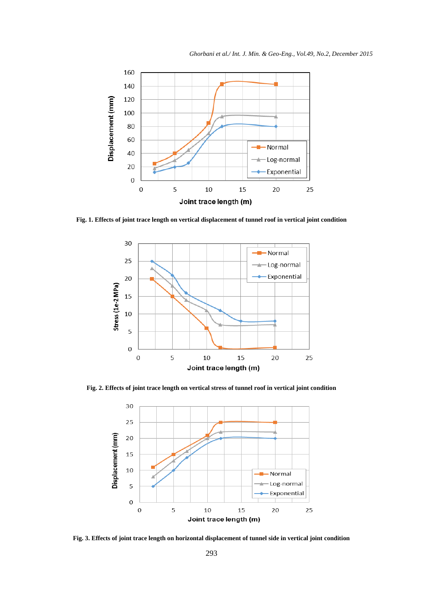

**Fig. 1. Effects of joint trace length on vertical displacement of tunnel roof in vertical joint condition**



**Fig. 2. Effects of joint trace length on vertical stress of tunnel roof in vertical joint condition**



**Fig. 3. Effects of joint trace length on horizontal displacement of tunnel side in vertical joint condition**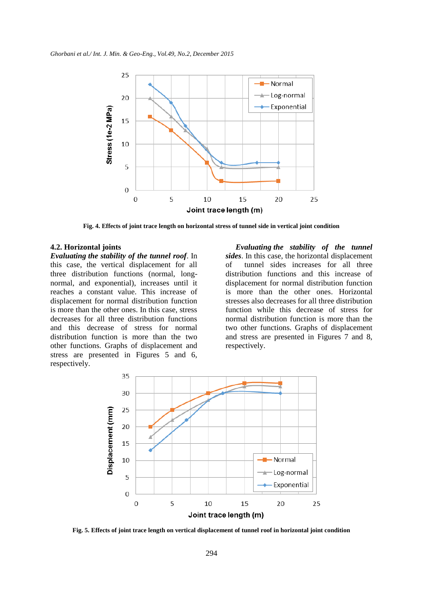

**Fig. 4. Effects of joint trace length on horizontal stress of tunnel side in vertical joint condition**

#### **4.2. Horizontal joints**

*Evaluating the stability of the tunnel roof*. In this case, the vertical displacement for all three distribution functions (normal, longnormal, and exponential), increases until it reaches a constant value. This increase of displacement for normal distribution function is more than the other ones. In this case, stress decreases for all three distribution functions and this decrease of stress for normal distribution function is more than the two other functions. Graphs of displacement and stress are presented in Figures 5 and 6, respectively.

*Evaluating the stability of the tunnel sides*. In this case, the horizontal displacement of tunnel sides increases for all three distribution functions and this increase of displacement for normal distribution function is more than the other ones. Horizontal stresses also decreases for all three distribution function while this decrease of stress for normal distribution function is more than the two other functions. Graphs of displacement and stress are presented in Figures 7 and 8, respectively.



**Fig. 5. Effects of joint trace length on vertical displacement of tunnel roof in horizontal joint condition**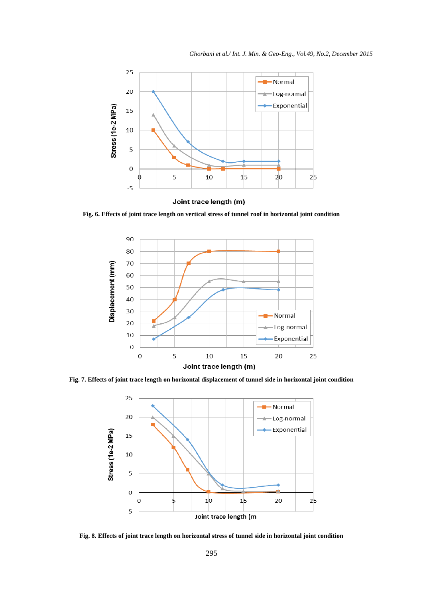

Joint trace length (m)

**Fig. 6. Effects of joint trace length on vertical stress of tunnel roof in horizontal joint condition**



**Fig. 7. Effects of joint trace length on horizontal displacement of tunnel side in horizontal joint condition**



**Fig. 8. Effects of joint trace length on horizontal stress of tunnel side in horizontal joint condition**